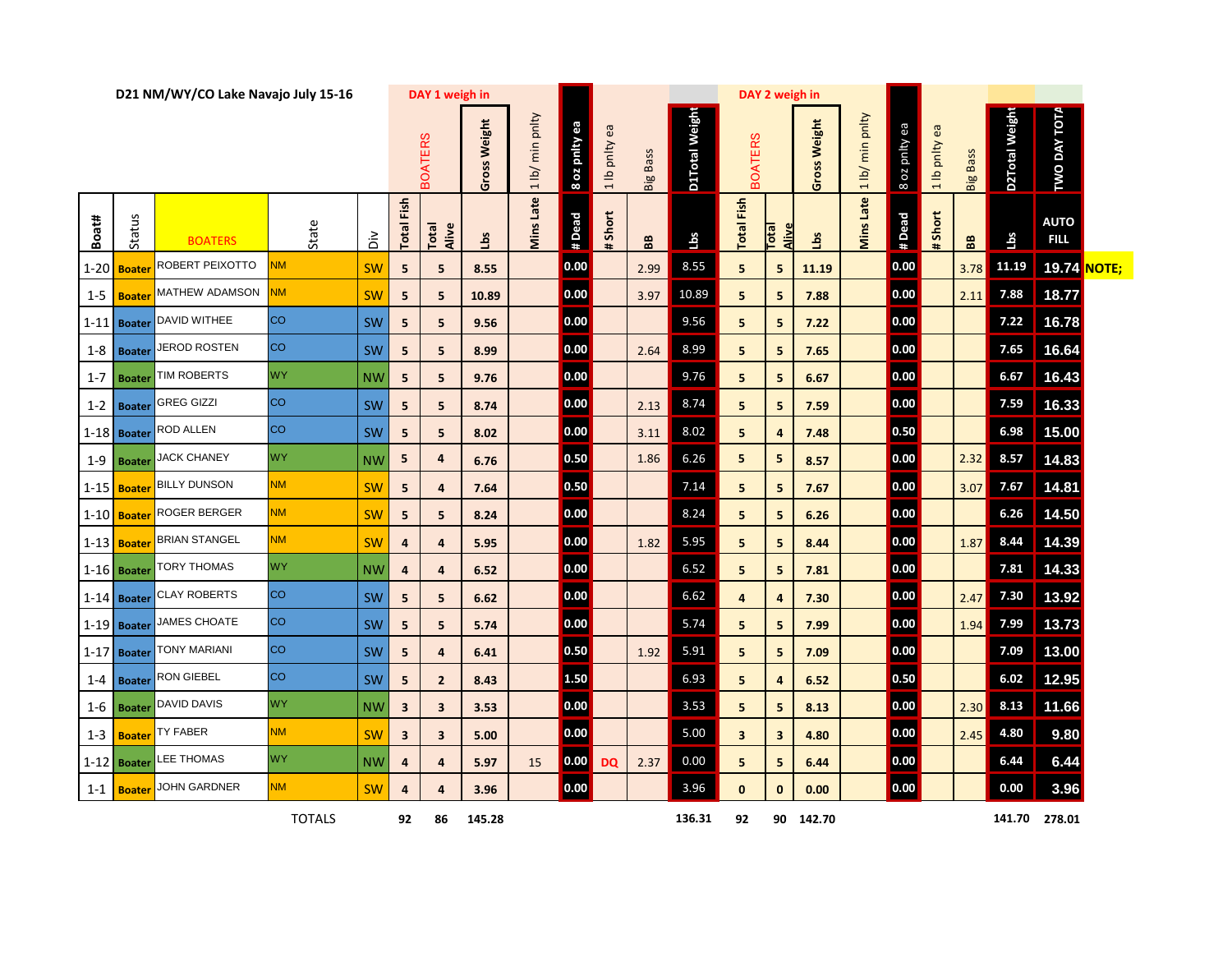| D21 NM/WY/CO Lake Navajo July 15-16 |               |                            |               |           |                | DAY 1 weigh in |              |                  | DAY 2 weigh in |               |                 |                |                   |                      |                |                             |               |               |                         |                |                            |              |
|-------------------------------------|---------------|----------------------------|---------------|-----------|----------------|----------------|--------------|------------------|----------------|---------------|-----------------|----------------|-------------------|----------------------|----------------|-----------------------------|---------------|---------------|-------------------------|----------------|----------------------------|--------------|
|                                     |               |                            |               |           |                | <b>BOATERS</b> | Gross Weight | 1 lb/ min pnlty  | 8 oz pnity ea  | a lb pnity ea | <b>Big Bass</b> | D1Total Weight | <b>BOATERS</b>    |                      | Gross Weight   | min pnlty<br>$\frac{1}{10}$ | 8 oz pnity ea | a lb pnity ea | <b>Big Bass</b>         | D2Total Weight | <b>TWO DAY TOTA</b>        |              |
| Boat#                               | Status        | <b>BOATERS</b>             | State         | ăά        | Fish<br>Total  | Total<br>Alive | <u>ig</u>    | <b>Mins Late</b> | # Dead         | # Short       | BB              | Lbs            | <b>Total Fish</b> | Total<br><b>Aliv</b> | $\overline{3}$ | Mins Late                   | # Dead        | # Short       | $\mathbf{B} \mathbf{B}$ | Lbs            | <b>AUTO</b><br><b>FILL</b> |              |
|                                     | 1-20 Boater   | ROBERT PEIXOTTO            | <b>NM</b>     | <b>SW</b> | 5              | 5              | 8.55         |                  | 0.00           |               | 2.99            | 8.55           | 5                 | 5                    | 11.19          |                             | 0.00          |               | 3.78                    | 11.19          | 19.74                      | <b>NOTE;</b> |
| $1 - 5$                             | <b>Boate</b>  | <b>MATHEW ADAMSON</b>      | ΝM            | SW        | 5              | 5              | 10.89        |                  | 0.00           |               | 3.97            | 10.89          | 5                 | 5                    | 7.88           |                             | 0.00          |               | 2.11                    | 7.88           | 18.77                      |              |
| $1 - 11$                            | <b>Boater</b> | <b>DAVID WITHEE</b>        | <b>CO</b>     | SW        | 5              | 5              | 9.56         |                  | 0.00           |               |                 | 9.56           | 5                 | 5                    | 7.22           |                             | 0.00          |               |                         | 7.22           | 16.78                      |              |
| $1 - 8$                             | <b>Boater</b> | <b>JEROD ROSTEN</b>        | <b>CO</b>     | SW        | 5              | 5              | 8.99         |                  | 0.00           |               | 2.64            | 8.99           | 5                 | 5 <sup>1</sup>       | 7.65           |                             | 0.00          |               |                         | 7.65           | 16.64                      |              |
| $1 - 7$                             | <b>Boater</b> | TIM ROBERTS                | <b>WY</b>     | <b>NW</b> | 5              | 5              | 9.76         |                  | 0.00           |               |                 | 9.76           | 5                 | 5 <sub>1</sub>       | 6.67           |                             | 0.00          |               |                         | 6.67           | 16.43                      |              |
| $1 - 2$                             | <b>Boater</b> | <b>GREG GIZZI</b>          | <b>CO</b>     | SW        | 5              | 5              | 8.74         |                  | 0.00           |               | 2.13            | 8.74           | 5                 | 5 <sup>1</sup>       | 7.59           |                             | 0.00          |               |                         | 7.59           | 16.33                      |              |
|                                     | 1-18 Boater   | ROD ALLEN                  | <b>CO</b>     | SW        | 5              | 5              | 8.02         |                  | 0.00           |               | 3.11            | 8.02           | 5                 | 4                    | 7.48           |                             | 0.50          |               |                         | 6.98           | 15.00                      |              |
| $1-9$                               | <b>Boater</b> | <b>JACK CHANEY</b>         | <b>WY</b>     | <b>NW</b> | 5              | 4              | 6.76         |                  | 0.50           |               | 1.86            | 6.26           | 5                 | 5 <sub>1</sub>       | 8.57           |                             | 0.00          |               | 2.32                    | 8.57           | 14.83                      |              |
|                                     | 1-15 Boater   | <b>BILLY DUNSON</b>        | <b>NM</b>     | <b>SW</b> | 5              | 4              | 7.64         |                  | 0.50           |               |                 | 7.14           | 5                 | 5 <sub>1</sub>       | 7.67           |                             | 0.00          |               | 3.07                    | 7.67           | 14.81                      |              |
|                                     | 1-10 Boater   | ROGER BERGER               | <b>NM</b>     | SW        | 5              | 5              | 8.24         |                  | 0.00           |               |                 | 8.24           | 5                 | 5 <sup>1</sup>       | 6.26           |                             | 0.00          |               |                         | 6.26           | 14.50                      |              |
|                                     | 1-13 Boater   | <b>BRIAN STANGEL</b>       | <b>NM</b>     | <b>SW</b> | 4              | 4              | 5.95         |                  | 0.00           |               | 1.82            | 5.95           | 5                 | 5 <sub>1</sub>       | 8.44           |                             | 0.00          |               | 1.87                    | 8.44           | 14.39                      |              |
|                                     | 1-16 Boater   | <b>TORY THOMAS</b>         | <b>WY</b>     | <b>NW</b> | 4              | 4              | 6.52         |                  | 0.00           |               |                 | 6.52           | 5                 | 5 <sub>1</sub>       | 7.81           |                             | 0.00          |               |                         | 7.81           | 14.33                      |              |
|                                     | $1-14$ Boater | <b>CLAY ROBERTS</b>        | <b>CO</b>     | SW        | 5              | 5              | 6.62         |                  | 0.00           |               |                 | 6.62           | 4                 | 4                    | 7.30           |                             | 0.00          |               | 2.47                    | 7.30           | 13.92                      |              |
|                                     | $1-19$ Boater | JAMES CHOATE               | <b>CO</b>     | SW        | 5              | 5              | 5.74         |                  | 0.00           |               |                 | 5.74           | 5                 | 5 <sup>1</sup>       | 7.99           |                             | 0.00          |               | 1.94                    | 7.99           | 13.73                      |              |
|                                     | 1-17 Boater   | <b>TONY MARIANI</b>        | <b>CO</b>     | SW        | 5              | 4              | 6.41         |                  | 0.50           |               | 1.92            | 5.91           | 5                 | 5                    | 7.09           |                             | 0.00          |               |                         | 7.09           | 13.00                      |              |
|                                     |               | 1-4   Boater RON GIEBEL    | <b>CO</b>     | SW        | $5\phantom{a}$ | $\overline{2}$ | 8.43         |                  | 1.50           |               |                 | 6.93           | 5                 | 4                    | 6.52           |                             | 0.50          |               |                         |                | $6.02$ 12.95               |              |
|                                     |               | 1-6 Boater DAVID DAVIS     | <b>WY</b>     | <b>NW</b> | $\mathbf{3}$   | $\mathbf{3}$   | 3.53         |                  | 0.00           |               |                 | 3.53           | 5                 | 5 <sub>1</sub>       | 8.13           |                             | 0.00          |               | 2.30                    |                | 8.13 11.66                 |              |
|                                     |               | 1-3 <b>Boater</b> TY FABER | <b>NM</b>     | <b>SW</b> | $\mathbf{3}$   | $\mathbf{3}$   | 5.00         |                  | 0.00           |               |                 | 5.00           | 3                 | $\mathbf{3}$         | 4.80           |                             | 0.00          |               | 2.45                    | 4.80           | 9.80                       |              |
|                                     |               | 1-12 Boater LEE THOMAS     | <b>WY</b>     | <b>NW</b> | 4              | 4              | 5.97         | 15               | 0.00           | <b>DQ</b>     | 2.37            | 0.00           | 5                 | 5 <sub>1</sub>       | 6.44           |                             | 0.00          |               |                         | 6.44           | 6.44                       |              |
|                                     | 1-1 Boater    | <b>JOHN GARDNER</b>        | <b>NM</b>     | <b>SW</b> | 4              | 4              | 3.96         |                  | 0.00           |               |                 | 3.96           | $\mathbf{0}$      | $\mathbf{0}$         | 0.00           |                             | 0.00          |               |                         | 0.00           | 3.96                       |              |
|                                     |               |                            | <b>TOTALS</b> |           | 92             | 86             | 145.28       |                  |                |               |                 | 136.31         | 92                |                      | 90 142.70      |                             |               |               |                         |                | 141.70 278.01              |              |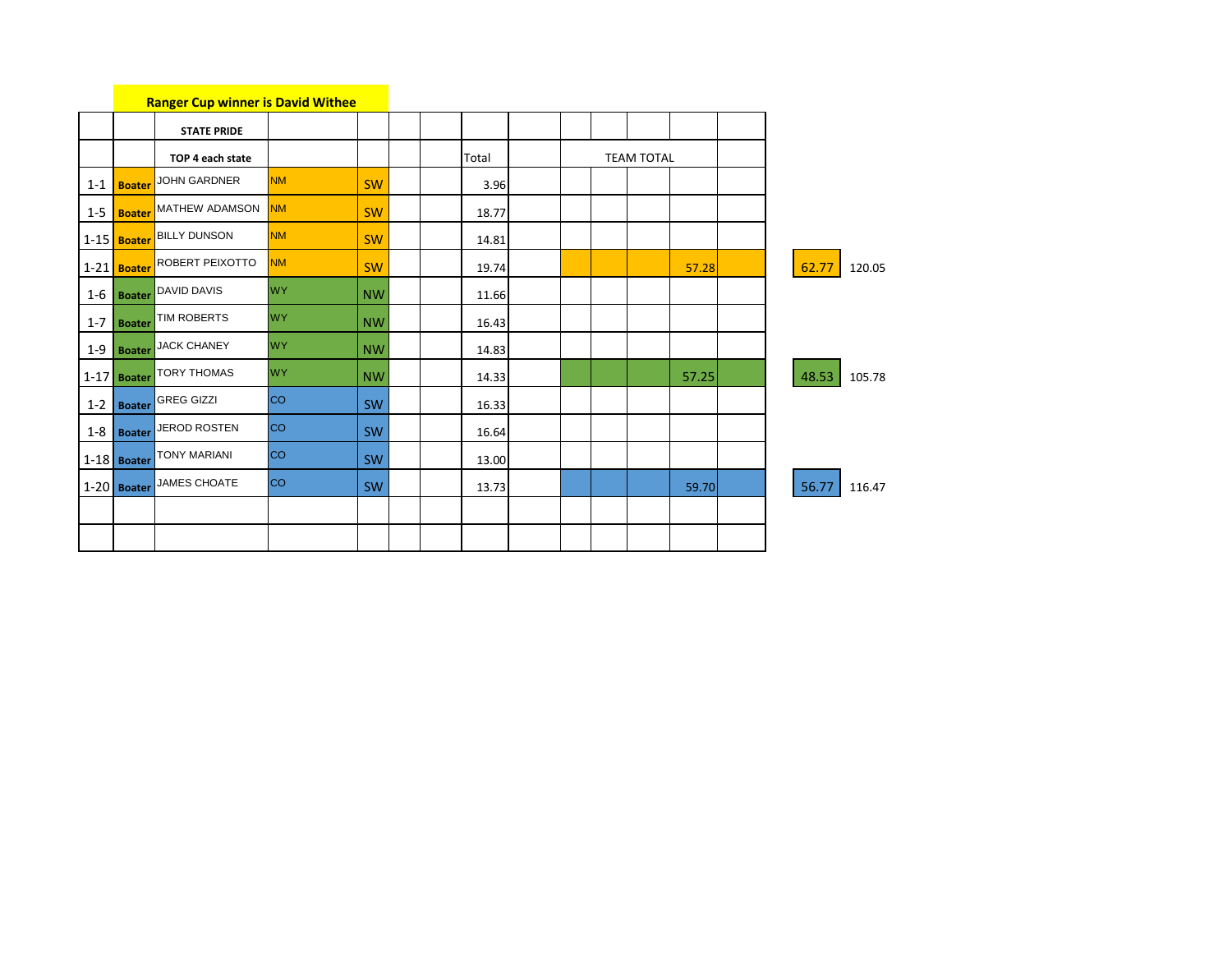|         |               | <b>Ranger Cup winner is David Withee</b> |           |           |       |  |                   |       |       |        |
|---------|---------------|------------------------------------------|-----------|-----------|-------|--|-------------------|-------|-------|--------|
|         |               | <b>STATE PRIDE</b>                       |           |           |       |  |                   |       |       |        |
|         |               | TOP 4 each state                         |           |           | Total |  | <b>TEAM TOTAL</b> |       |       |        |
|         | 1-1 Boater    | JOHN GARDNER                             | <b>NM</b> | SW        | 3.96  |  |                   |       |       |        |
|         | 1-5 Boater    | MATHEW ADAMSON                           | <b>NM</b> | <b>SW</b> | 18.77 |  |                   |       |       |        |
|         |               | 1-15 Boater BILLY DUNSON                 | <b>NM</b> | SW        | 14.81 |  |                   |       |       |        |
|         | 1-21 Boater   | <b>ROBERT PEIXOTTO</b>                   | <b>NM</b> | SW        | 19.74 |  |                   | 57.28 | 62.77 | 120.05 |
|         |               | 1-6 <b>Boater</b> DAVID DAVIS            | <b>WY</b> | <b>NW</b> | 11.66 |  |                   |       |       |        |
| $1 - 7$ | <b>Boater</b> | TIM ROBERTS                              | <b>WY</b> | <b>NW</b> | 16.43 |  |                   |       |       |        |
| $1 - 9$ | <b>Boater</b> | JACK CHANEY                              | <b>WY</b> | <b>NW</b> | 14.83 |  |                   |       |       |        |
|         | $1-17$ Boater | <b>TORY THOMAS</b>                       | <b>WY</b> | <b>NW</b> | 14.33 |  |                   | 57.25 | 48.53 | 105.78 |
|         | 1-2 Boater    | <b>GREG GIZZI</b>                        | <b>CO</b> | <b>SW</b> | 16.33 |  |                   |       |       |        |
|         | $1-8$ Boater  | JEROD ROSTEN                             | <b>CO</b> | SW        | 16.64 |  |                   |       |       |        |
|         | $1-18$ Boater | <b>TONY MARIANI</b>                      | <b>CO</b> | SW        | 13.00 |  |                   |       |       |        |
|         | $1-20$ Boater | JAMES CHOATE                             | <b>CO</b> | SW        | 13.73 |  |                   | 59.70 | 56.77 | 116.47 |
|         |               |                                          |           |           |       |  |                   |       |       |        |
|         |               |                                          |           |           |       |  |                   |       |       |        |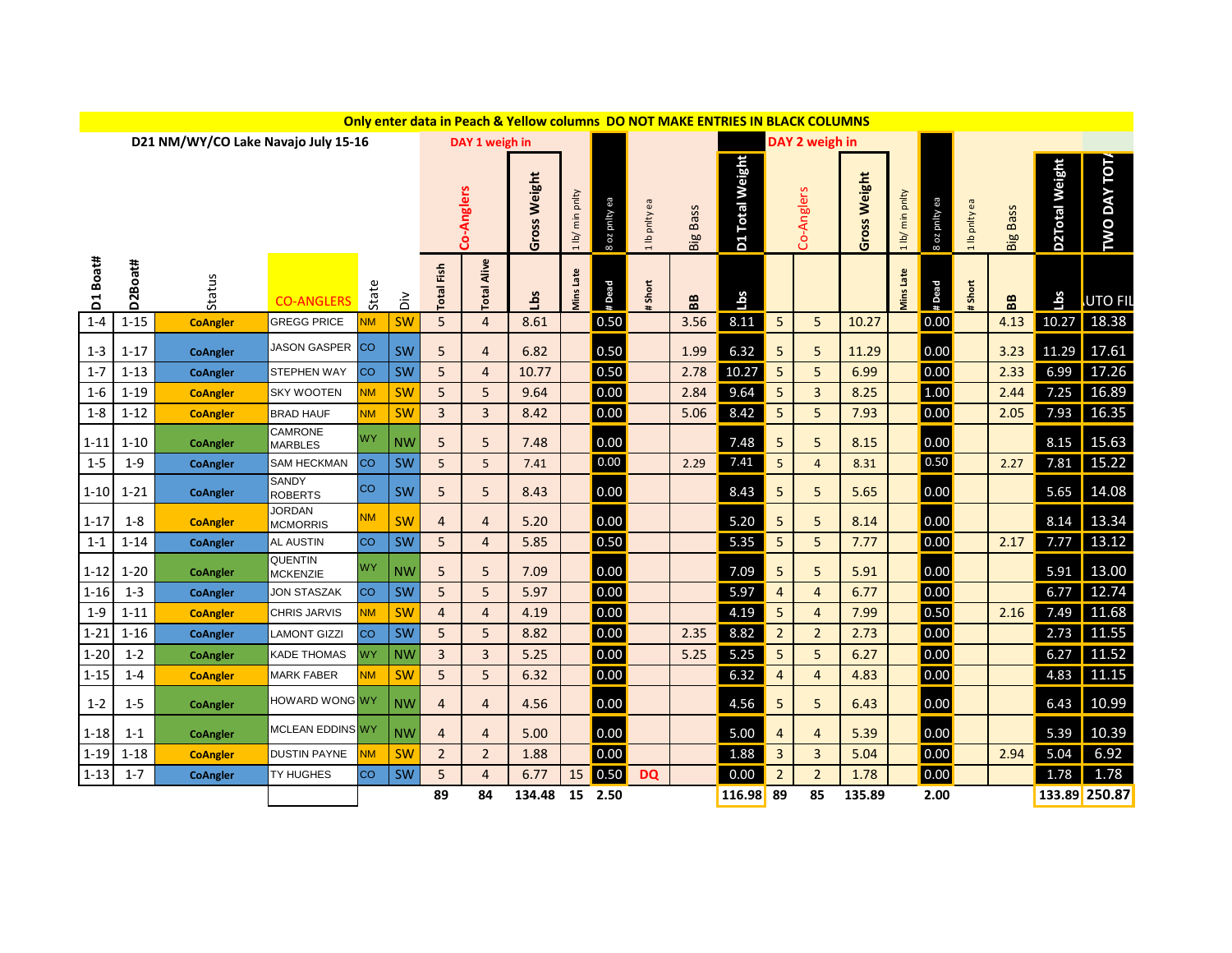|            |             |                                     |                                  |           |                            |                         |                    | Only enter data in Peach & Yellow columns DO NOT MAKE ENTRIES IN BLACK COLUMNS |                    |              |               |                 |                           |                |                |                        |                 |               |               |                 |                |                |
|------------|-------------|-------------------------------------|----------------------------------|-----------|----------------------------|-------------------------|--------------------|--------------------------------------------------------------------------------|--------------------|--------------|---------------|-----------------|---------------------------|----------------|----------------|------------------------|-----------------|---------------|---------------|-----------------|----------------|----------------|
|            |             | D21 NM/WY/CO Lake Navajo July 15-16 |                                  |           |                            |                         |                    | DAY 2 weigh in                                                                 |                    |              |               |                 |                           |                |                |                        |                 |               |               |                 |                |                |
|            |             |                                     |                                  |           |                            |                         | Co-Anglers         | Gross Weight                                                                   | min pnlty<br>1 lb/ | ea Aµud zo 8 | a Ib pnity ea | <b>Big Bass</b> | <b>Total Weight</b><br>D1 |                | Co-Anglers     | Weight<br><b>Gross</b> | 1 lb/ min pnlty | 8 oz pnity ea | 1 lb pnity ea | <b>Big Bass</b> | D2Total Weight | TWO DAY TOT.   |
| D1 Boat#   | D2Boat#     | Status                              | <b>CO-ANGLERS</b>                | State     | $\dot{\tilde{\mathsf{d}}}$ | <b>Total Fish</b>       | <b>Total Alive</b> | sqT                                                                            | Viins Late         | #Dead        | Short         | BB              | Lbs                       |                |                |                        | Vins Late       | # Dead        | Short         | BB              | Lbs            | UTO FIL        |
| $1 - 4$    | $1 - 15$    | <b>CoAngler</b>                     | <b>GREGG PRICE</b>               | <b>NM</b> | <b>SW</b>                  | 5                       | $\overline{4}$     | 8.61                                                                           |                    | 0.50         |               | 3.56            | 8.11                      | 5              | 5              | 10.27                  |                 | 0.00          |               | 4.13            | 10.27          | 18.38          |
| $1 - 3$    | $1 - 17$    | <b>CoAngler</b>                     | JASON GASPER                     | <b>CO</b> | SW                         | 5                       | $\overline{4}$     | 6.82                                                                           |                    | 0.50         |               | 1.99            | 6.32                      | 5              | 5              | 11.29                  |                 | 0.00          |               | 3.23            | 11.29          | 17.61          |
| $1 - 7$    | $1 - 13$    | <b>CoAngler</b>                     | STEPHEN WAY                      | <b>CO</b> | SW                         | 5                       | $\overline{4}$     | 10.77                                                                          |                    | 0.50         |               | 2.78            | 10.27                     | 5              | 5              | 6.99                   |                 | 0.00          |               | 2.33            | 6.99           | 17.26          |
| $1 - 6$    | $1 - 19$    | <b>CoAngler</b>                     | <b>SKY WOOTEN</b>                | <b>NM</b> | <b>SW</b>                  | 5                       | 5                  | 9.64                                                                           |                    | 0.00         |               | 2.84            | 9.64                      | 5              | $\overline{3}$ | 8.25                   |                 | 1.00          |               | 2.44            | 7.25           | 16.89          |
| $1-8$      | $1 - 12$    | <b>CoAngler</b>                     | <b>BRAD HAUF</b>                 | <b>NM</b> | <b>SW</b>                  | 3                       | $\overline{3}$     | 8.42                                                                           |                    | 0.00         |               | 5.06            | 8.42                      | 5              | 5 <sup>1</sup> | 7.93                   |                 | 0.00          |               | 2.05            | 7.93           | 16.35          |
| $1 - 11$   | $1 - 10$    | <b>CoAngler</b>                     | CAMRONE<br><b>MARBLES</b>        | <b>WY</b> | <b>NW</b>                  | 5                       | 5                  | 7.48                                                                           |                    | 0.00         |               |                 | 7.48                      | 5              | 5              | 8.15                   |                 | 0.00          |               |                 | 8.15           | 15.63          |
| $1 - 5$    | $1 - 9$     | <b>CoAngler</b>                     | <b>SAM HECKMAN</b>               | <b>CO</b> | SW                         | 5                       | 5                  | 7.41                                                                           |                    | 0.00         |               | 2.29            | 7.41                      | 5              | $\overline{4}$ | 8.31                   |                 | 0.50          |               | 2.27            | 7.81           | 15.22          |
| $1 - 10$   | $1 - 21$    | <b>CoAngler</b>                     | <b>SANDY</b><br><b>ROBERTS</b>   | <b>CO</b> | SW                         | 5                       | 5                  | 8.43                                                                           |                    | 0.00         |               |                 | 8.43                      | 5              | 5              | 5.65                   |                 | 0.00          |               |                 | 5.65           | 14.08          |
| $1 - 17$   | $1 - 8$     | <b>CoAngler</b>                     | <b>JORDAN</b><br><b>MCMORRIS</b> | <b>NM</b> | SW                         | $\overline{\mathbf{r}}$ | $\overline{4}$     | 5.20                                                                           |                    | 0.00         |               |                 | 5.20                      | 5              | 5              | 8.14                   |                 | 0.00          |               |                 | 8.14           | 13.34          |
| $1 - 1$    | $1 - 14$    | <b>CoAngler</b>                     | AL AUSTIN                        | <b>CO</b> | SW                         | 5                       | $\overline{4}$     | 5.85                                                                           |                    | 0.50         |               |                 | 5.35                      | 5              | 5              | 7.77                   |                 | 0.00          |               | 2.17            | 7.77           | 13.12          |
| $1 - 12$   | $1 - 20$    | <b>CoAngler</b>                     | QUENTIN<br><b>MCKENZIE</b>       | <b>WY</b> | <b>NW</b>                  | 5                       | 5                  | 7.09                                                                           |                    | 0.00         |               |                 | 7.09                      | 5              | 5              | 5.91                   |                 | 0.00          |               |                 | 5.91           | 13.00          |
| $1 - 16$   | $1 - 3$     | <b>CoAngler</b>                     | <b>JON STASZAK</b>               | <b>CO</b> | SW                         | 5                       | 5                  | 5.97                                                                           |                    | 0.00         |               |                 | 5.97                      | $\overline{4}$ | $\overline{4}$ | 6.77                   |                 | 0.00          |               |                 | 6.77           | 12.74          |
| $1 - 9$    | $1 - 11$    | <b>CoAngler</b>                     | <b>CHRIS JARVIS</b>              | <b>NM</b> | <b>SW</b>                  | 4                       | $\overline{4}$     | 4.19                                                                           |                    | 0.00         |               |                 | 4.19                      | 5              | 4              | 7.99                   |                 | 0.50          |               | 2.16            | 7.49           | 11.68          |
| $1 - 21$   | $1 - 16$    | <b>CoAngler</b>                     | <b>LAMONT GIZZI</b>              | <b>CO</b> | SW                         | 5                       | 5                  | 8.82                                                                           |                    | 0.00         |               | 2.35            | 8.82                      | $\overline{2}$ | $\overline{2}$ | 2.73                   |                 | 0.00          |               |                 | 2.73           | 11.55          |
| $1 - 20$   | $1 - 2$     | <b>CoAngler</b>                     | <b>KADE THOMAS</b>               | <b>WY</b> | <b>NW</b>                  | 3                       | $\overline{3}$     | 5.25                                                                           |                    | 0.00         |               | 5.25            | 5.25                      | 5              | 5              | 6.27                   |                 | 0.00          |               |                 | 6.27           | 11.52          |
| $1 - 15$   | $1 - 4$     | <b>CoAngler</b>                     | <b>MARK FABER</b>                | <b>NM</b> | <b>SW</b>                  | 5                       | 5                  | 6.32                                                                           |                    | 0.00         |               |                 | 6.32                      | 4              | 4              | 4.83                   |                 | 0.00          |               |                 | 4.83           | 11.15          |
| $1-2$      | $1 - 5$     | <b>CoAngler</b>                     | <b>HOWARD WONG</b> WY            |           | NW                         | 4                       | 4                  | 4.56                                                                           |                    | 0.00         |               |                 | 4.56                      | 5              | 5.             | 6.43                   |                 | 0.00          |               |                 |                | 6.43 10.99     |
| $1-18$ 1-1 |             | <b>CoAngler</b>                     | MCLEAN EDDINS WY                 |           | <b>NW</b>                  | 4                       | $\overline{4}$     | 5.00                                                                           |                    | 0.00         |               |                 | 5.00                      | $\overline{a}$ | 4              | 5.39                   |                 | 0.00          |               |                 |                | 5.39 10.39     |
|            | $1-19$ 1-18 | <b>CoAngler</b>                     | <b>DUSTIN PAYNE</b>              | <b>NM</b> | SW                         | $\overline{2}$          | $\overline{2}$     | 1.88                                                                           |                    | 0.00         |               |                 | 1.88                      | $\mathbf{3}$   | $\overline{3}$ | 5.04                   |                 | 0.00          |               | 2.94            |                | $5.04 \t 6.92$ |
| $1 - 13$   | $1 - 7$     | <b>CoAngler</b>                     | TY HUGHES                        | <b>CO</b> | SW                         | 5                       | 4                  | 6.77                                                                           |                    | 15 0.50      | <b>DQ</b>     |                 | 0.00                      | $\overline{2}$ | 2 <sup>2</sup> | 1.78                   |                 | 0.00          |               |                 |                | 1.78 1.78      |
|            |             |                                     |                                  |           |                            | 89                      | 84                 | 134.48 15 2.50                                                                 |                    |              |               |                 | 116.98 89                 |                | 85             | 135.89                 |                 | 2.00          |               |                 |                | 133.89 250.87  |